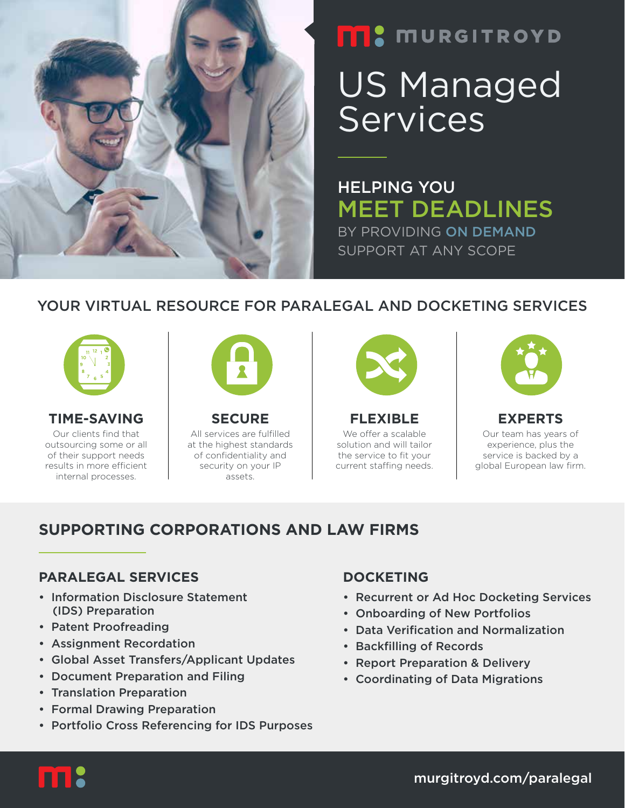

# **FRIC MURGITROYD** US Managed **Services**

HELPING YOU MEET DEADLINES BY PROVIDING ON DEMAND SUPPORT AT ANY SCOPE

## YOUR VIRTUAL RESOURCE FOR PARALEGAL AND DOCKETING SERVICES



**TIME-SAVING** Our clients find that outsourcing some or all of their support needs results in more efficient internal processes.



**SECURE** All services are fulfilled at the highest standards of confidentiality and security on your IP assets.



**FLEXIBLE** We offer a scalable solution and will tailor the service to fit your current staffing needs.



**EXPERTS** Our team has years of experience, plus the service is backed by a global European law firm.

## **SUPPORTING CORPORATIONS AND LAW FIRMS**

#### **PARALEGAL SERVICES**

- Information Disclosure Statement (IDS) Preparation
- Patent Proofreading
- Assignment Recordation
- Global Asset Transfers/Applicant Updates
- Document Preparation and Filing
- Translation Preparation
- Formal Drawing Preparation
- Portfolio Cross Referencing for IDS Purposes

#### **DOCKETING**

- Recurrent or Ad Hoc Docketing Services
- Onboarding of New Portfolios
- Data Verification and Normalization
- Backfilling of Records
- Report Preparation & Delivery
- Coordinating of Data Migrations



murgitroyd.com/paralegal